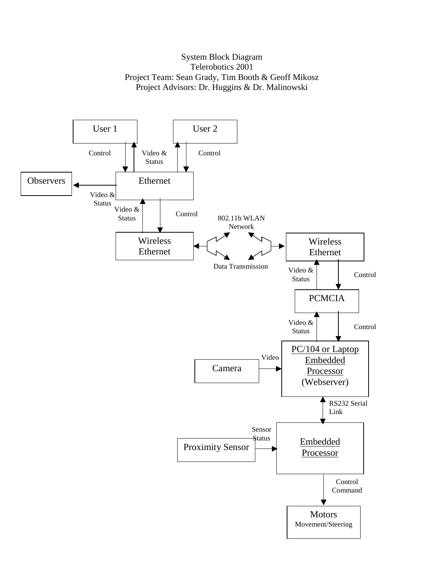## System Block Diagram Telerobotics 2001 Project Team: Sean Grady, Tim Booth & Geoff Mikosz Project Advisors: Dr. Huggins & Dr. Malinowski

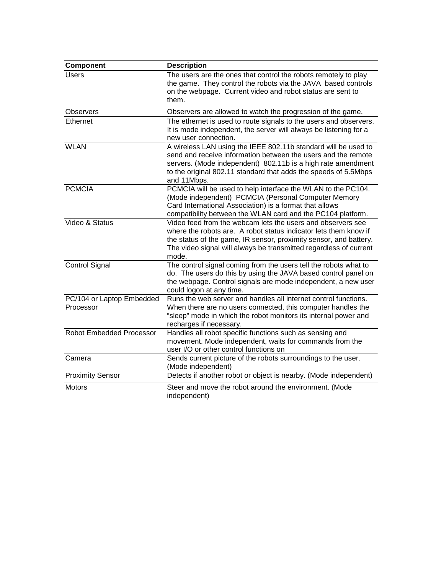| Component                              | <b>Description</b>                                                                                                                                                                                                                                                                 |
|----------------------------------------|------------------------------------------------------------------------------------------------------------------------------------------------------------------------------------------------------------------------------------------------------------------------------------|
| Users                                  | The users are the ones that control the robots remotely to play<br>the game. They control the robots via the JAVA based controls<br>on the webpage. Current video and robot status are sent to<br>them.                                                                            |
| <b>Observers</b>                       | Observers are allowed to watch the progression of the game.                                                                                                                                                                                                                        |
| Ethernet                               | The ethernet is used to route signals to the users and observers.<br>It is mode independent, the server will always be listening for a<br>new user connection.                                                                                                                     |
| <b>WLAN</b>                            | A wireless LAN using the IEEE 802.11b standard will be used to<br>send and receive information between the users and the remote<br>servers. (Mode independent) 802.11b is a high rate amendment<br>to the original 802.11 standard that adds the speeds of 5.5Mbps<br>and 11Mbps.  |
| <b>PCMCIA</b>                          | PCMCIA will be used to help interface the WLAN to the PC104.<br>(Mode independent) PCMCIA (Personal Computer Memory<br>Card International Association) is a format that allows<br>compatibility between the WLAN card and the PC104 platform.                                      |
| Video & Status                         | Video feed from the webcam lets the users and observers see<br>where the robots are. A robot status indicator lets them know if<br>the status of the game, IR sensor, proximity sensor, and battery.<br>The video signal will always be transmitted regardless of current<br>mode. |
| <b>Control Signal</b>                  | The control signal coming from the users tell the robots what to<br>do. The users do this by using the JAVA based control panel on<br>the webpage. Control signals are mode independent, a new user<br>could logon at any time.                                                    |
| PC/104 or Laptop Embedded<br>Processor | Runs the web server and handles all internet control functions.<br>When there are no users connected, this computer handles the<br>'sleep" mode in which the robot monitors its internal power and<br>recharges if necessary.                                                      |
| Robot Embedded Processor               | Handles all robot specific functions such as sensing and<br>movement. Mode independent, waits for commands from the<br>user I/O or other control functions on                                                                                                                      |
| Camera                                 | Sends current picture of the robots surroundings to the user.<br>(Mode independent)                                                                                                                                                                                                |
| <b>Proximity Sensor</b>                | Detects if another robot or object is nearby. (Mode independent)                                                                                                                                                                                                                   |
| <b>Motors</b>                          | Steer and move the robot around the environment. (Mode<br>independent)                                                                                                                                                                                                             |